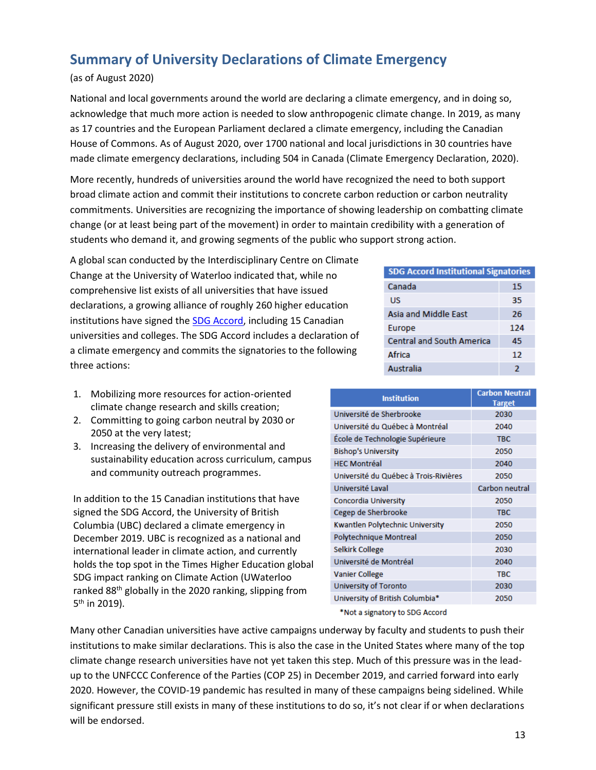## **Summary of University Declarations of Climate Emergency**

## (as of August 2020)

National and local governments around the world are declaring a climate emergency, and in doing so, acknowledge that much more action is needed to slow anthropogenic climate change. In 2019, as many as 17 countries and the European Parliament declared a climate emergency, including the Canadian House of Commons. As of August 2020, over 1700 national and local jurisdictions in 30 countries have made climate emergency declarations, including 504 in Canada (Climate Emergency Declaration, 2020).

 students who demand it, and growing segments of the public who support strong action. More recently, hundreds of universities around the world have recognized the need to both support broad climate action and commit their institutions to concrete carbon reduction or carbon neutrality commitments. Universities are recognizing the importance of showing leadership on combatting climate change (or at least being part of the movement) in order to maintain credibility with a generation of

 declarations, a growing alliance of roughly 260 higher education three actions: A global scan conducted by the Interdisciplinary Centre on Climate Change at the University of Waterloo indicated that, while no comprehensive list exists of all universities that have issued institutions have signed the [SDG Accord,](https://www.sdgaccord.org/) including 15 Canadian universities and colleges. The SDG Accord includes a declaration of a climate emergency and commits the signatories to the following

- 1. Mobilizing more resources for action-oriented climate change research and skills creation;
- 2. Committing to going carbon neutral by 2030 or 2050 at the very latest;
- 3. Increasing the delivery of environmental and sustainability education across curriculum, campus and community outreach programmes.

5<sup>th</sup> in 2019). In addition to the 15 Canadian institutions that have signed the SDG Accord, the University of British Columbia (UBC) declared a climate emergency in December 2019. UBC is recognized as a national and international leader in climate action, and currently holds the top spot in the Times Higher Education global SDG impact ranking on Climate Action (UWaterloo ranked 88th globally in the 2020 ranking, slipping from

| <b>SDG Accord Institutional Signatories</b> |     |
|---------------------------------------------|-----|
| Canada                                      | 15  |
| US                                          | 35  |
| Asia and Middle East                        | 26  |
| Europe                                      | 124 |
| <b>Central and South America</b>            | 45  |
| <b>Africa</b>                               | 12  |
| Australia                                   | 2   |

| <b>Institution</b>                    | <b>Carbon Neutral</b><br><b>Target</b> |
|---------------------------------------|----------------------------------------|
| Université de Sherbrooke              | 2030                                   |
| Université du Québec à Montréal       | 2040                                   |
| École de Technologie Supérieure       | <b>TBC</b>                             |
| <b>Bishop's University</b>            | 2050                                   |
| <b>HFC Montréal</b>                   | 2040                                   |
| Université du Québec à Trois-Rivières | 2050                                   |
| Université Laval                      | Carbon neutral                         |
| Concordia University                  | 2050                                   |
| Cegep de Sherbrooke                   | <b>TBC</b>                             |
| Kwantlen Polytechnic University       | 2050                                   |
| Polytechnique Montreal                | 2050                                   |
| Selkirk College                       | 2030                                   |
| Université de Montréal                | 2040                                   |
| <b>Vanier College</b>                 | <b>TBC</b>                             |
| University of Toronto                 | 2030                                   |
| University of British Columbia*       | 2050                                   |

\*Not a signatory to SDG Accord

Many other Canadian universities have active campaigns underway by faculty and students to push their institutions to make similar declarations. This is also the case in the United States where many of the top climate change research universities have not yet taken this step. Much of this pressure was in the leadup to the UNFCCC Conference of the Parties (COP 25) in December 2019, and carried forward into early 2020. However, the COVID-19 pandemic has resulted in many of these campaigns being sidelined. While significant pressure still exists in many of these institutions to do so, it's not clear if or when declarations will be endorsed.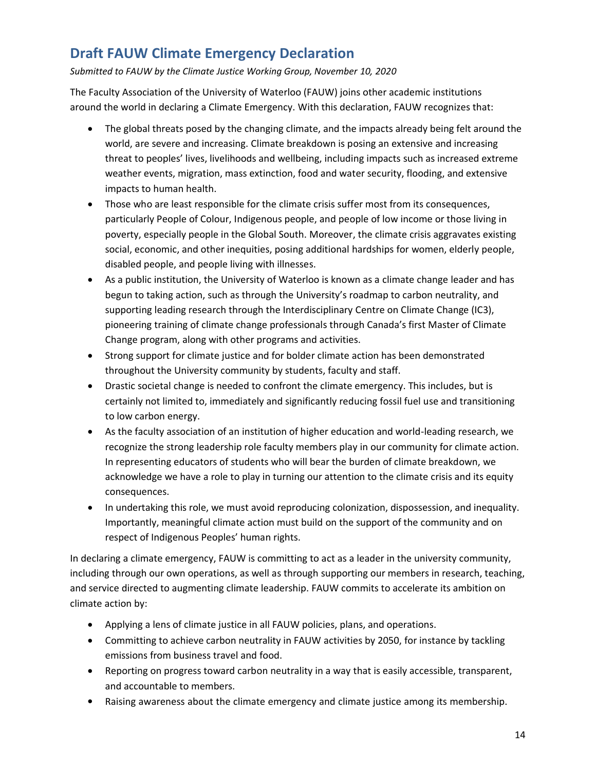## **Draft FAUW Climate Emergency Declaration**

*Submitted to FAUW by the Climate Justice Working Group, November 10, 2020* 

The Faculty Association of the University of Waterloo (FAUW) joins other academic institutions around the world in declaring a Climate Emergency. With this declaration, FAUW recognizes that:

- impacts to human health. • The global threats posed by the changing climate, and the impacts already being felt around the world, are severe and increasing. Climate breakdown is posing an extensive and increasing threat to peoples' lives, livelihoods and wellbeing, including impacts such as increased extreme weather events, migration, mass extinction, food and water security, flooding, and extensive
- social, economic, and other inequities, posing additional hardships for women, elderly people, disabled people, and people living with illnesses. • Those who are least responsible for the climate crisis suffer most from its consequences, particularly People of Colour, Indigenous people, and people of low income or those living in poverty, especially people in the Global South. Moreover, the climate crisis aggravates existing
- As a public institution, the University of Waterloo is known as a climate change leader and has begun to taking action, such as through the University's roadmap to carbon neutrality, and supporting leading research through the Interdisciplinary Centre on Climate Change (IC3), pioneering training of climate change professionals through Canada's first Master of Climate Change program, along with other programs and activities.
- Strong support for climate justice and for bolder climate action has been demonstrated throughout the University community by students, faculty and staff.
- certainly not limited to, immediately and significantly reducing fossil fuel use and transitioning • Drastic societal change is needed to confront the climate emergency. This includes, but is to low carbon energy.
- consequences. • As the faculty association of an institution of higher education and world-leading research, we recognize the strong leadership role faculty members play in our community for climate action. In representing educators of students who will bear the burden of climate breakdown, we acknowledge we have a role to play in turning our attention to the climate crisis and its equity
- In undertaking this role, we must avoid reproducing colonization, dispossession, and inequality. Importantly, meaningful climate action must build on the support of the community and on respect of Indigenous Peoples' human rights.

In declaring a climate emergency, FAUW is committing to act as a leader in the university community, including through our own operations, as well as through supporting our members in research, teaching, and service directed to augmenting climate leadership. FAUW commits to accelerate its ambition on climate action by:

- Applying a lens of climate justice in all FAUW policies, plans, and operations.
- emissions from business travel and food. • Committing to achieve carbon neutrality in FAUW activities by 2050, for instance by tackling
- Reporting on progress toward carbon neutrality in a way that is easily accessible, transparent, and accountable to members.
- Raising awareness about the climate emergency and climate justice among its membership.